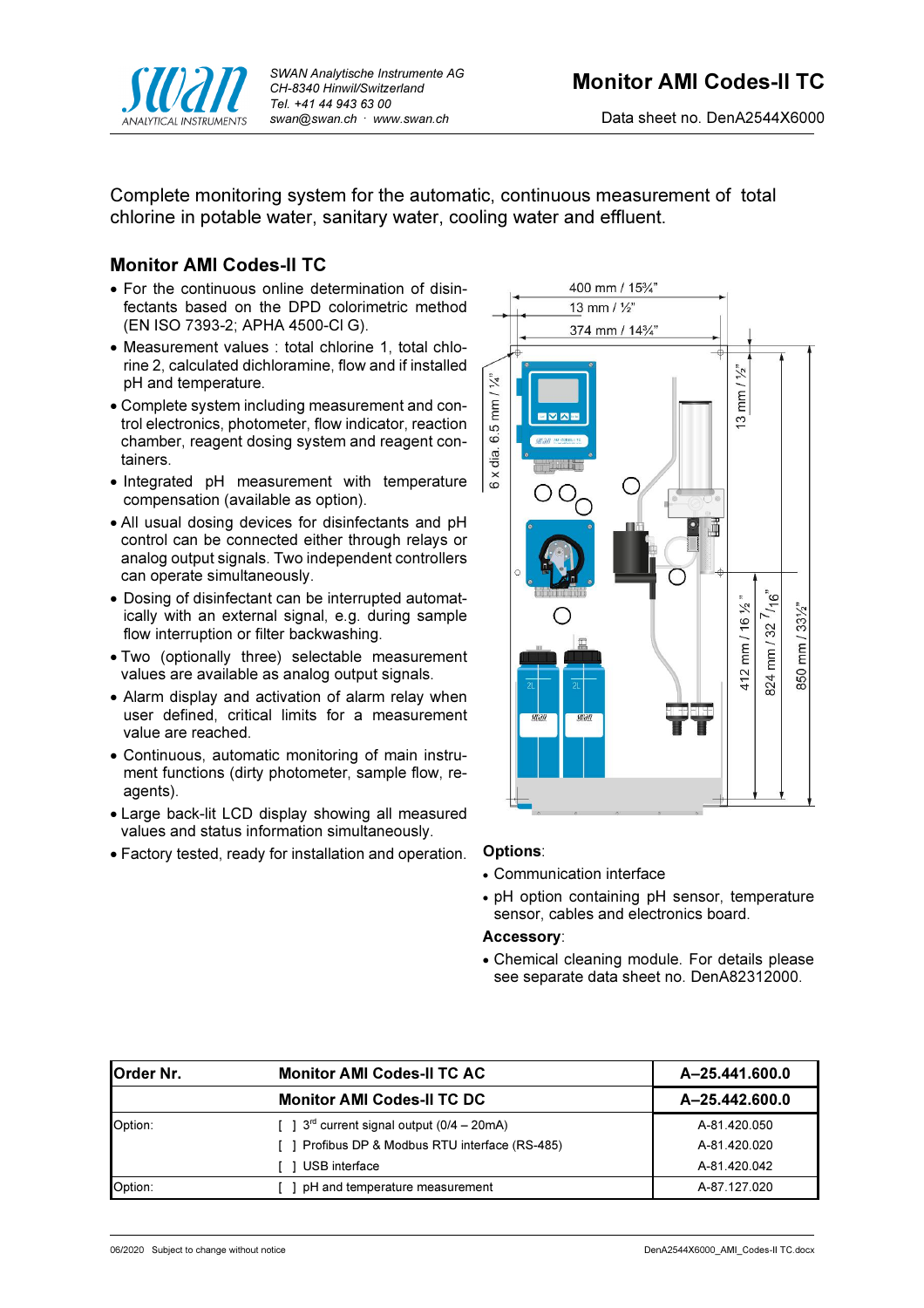

Complete monitoring system for the automatic, continuous measurement of total chlorine in potable water, sanitary water, cooling water and effluent.

# Monitor AMI Codes-II TC

- For the continuous online determination of disinfectants based on the DPD colorimetric method (EN ISO 7393-2; APHA 4500-Cl G).
- Measurement values : total chlorine 1, total chlorine 2, calculated dichloramine, flow and if installed pH and temperature.
- Complete system including measurement and control electronics, photometer, flow indicator, reaction chamber, reagent dosing system and reagent containers.
- Integrated pH measurement with temperature compensation (available as option).
- All usual dosing devices for disinfectants and pH control can be connected either through relays or analog output signals. Two independent controllers can operate simultaneously.
- Dosing of disinfectant can be interrupted automatically with an external signal, e.g. during sample flow interruption or filter backwashing.
- Two (optionally three) selectable measurement values are available as analog output signals.
- Alarm display and activation of alarm relay when user defined, critical limits for a measurement value are reached.
- Continuous, automatic monitoring of main instrument functions (dirty photometer, sample flow, reagents).
- Large back-lit LCD display showing all measured values and status information simultaneously.
- Factory tested, ready for installation and operation. Options:



- Communication interface
- pH option containing pH sensor, temperature sensor, cables and electronics board.

# Accessory:

 Chemical cleaning module. For details please see separate data sheet no. DenA82312000.

| <b>Order Nr.</b> | <b>Monitor AMI Codes-II TC AC</b>                             | A-25.441.600.0 |
|------------------|---------------------------------------------------------------|----------------|
|                  | <b>Monitor AMI Codes-II TC DC</b>                             | A-25.442.600.0 |
| Option:          | $\lceil$   3 <sup>rd</sup> current signal output (0/4 – 20mA) | A-81.420.050   |
|                  | [ ] Profibus DP & Modbus RTU interface (RS-485)               | A-81.420.020   |
|                  | USB interface                                                 | A-81.420.042   |
| Option:          | pH and temperature measurement                                | A-87.127.020   |